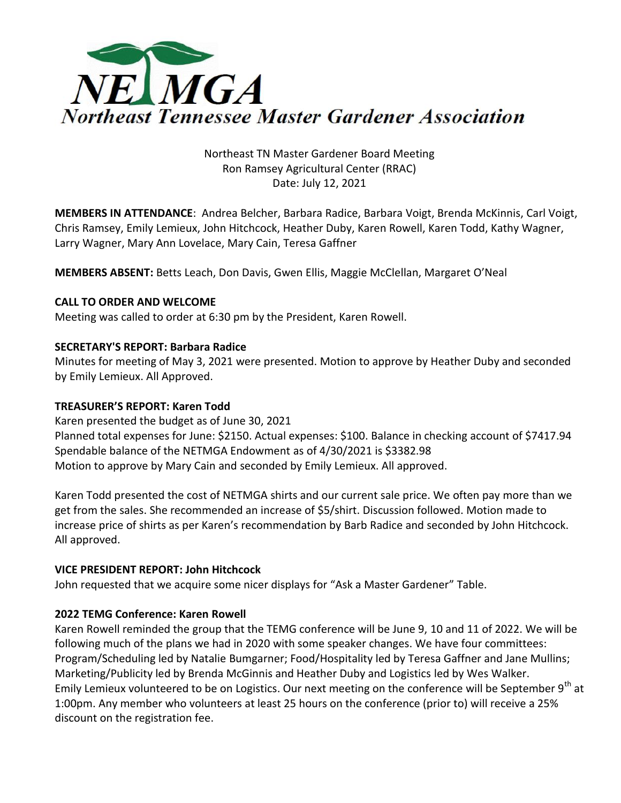

# Northeast TN Master Gardener Board Meeting Ron Ramsey Agricultural Center (RRAC) Date: July 12, 2021

**MEMBERS IN ATTENDANCE**: Andrea Belcher, Barbara Radice, Barbara Voigt, Brenda McKinnis, Carl Voigt, Chris Ramsey, Emily Lemieux, John Hitchcock, Heather Duby, Karen Rowell, Karen Todd, Kathy Wagner, Larry Wagner, Mary Ann Lovelace, Mary Cain, Teresa Gaffner

**MEMBERS ABSENT:** Betts Leach, Don Davis, Gwen Ellis, Maggie McClellan, Margaret O'Neal

### **CALL TO ORDER AND WELCOME**

Meeting was called to order at 6:30 pm by the President, Karen Rowell.

## **SECRETARY'S REPORT: Barbara Radice**

Minutes for meeting of May 3, 2021 were presented. Motion to approve by Heather Duby and seconded by Emily Lemieux. All Approved.

### **TREASURER'S REPORT: Karen Todd**

Karen presented the budget as of June 30, 2021 Planned total expenses for June: \$2150. Actual expenses: \$100. Balance in checking account of \$7417.94 Spendable balance of the NETMGA Endowment as of 4/30/2021 is \$3382.98 Motion to approve by Mary Cain and seconded by Emily Lemieux. All approved.

Karen Todd presented the cost of NETMGA shirts and our current sale price. We often pay more than we get from the sales. She recommended an increase of \$5/shirt. Discussion followed. Motion made to increase price of shirts as per Karen's recommendation by Barb Radice and seconded by John Hitchcock. All approved.

## **VICE PRESIDENT REPORT: John Hitchcock**

John requested that we acquire some nicer displays for "Ask a Master Gardener" Table.

## **2022 TEMG Conference: Karen Rowell**

Karen Rowell reminded the group that the TEMG conference will be June 9, 10 and 11 of 2022. We will be following much of the plans we had in 2020 with some speaker changes. We have four committees: Program/Scheduling led by Natalie Bumgarner; Food/Hospitality led by Teresa Gaffner and Jane Mullins; Marketing/Publicity led by Brenda McGinnis and Heather Duby and Logistics led by Wes Walker. Emily Lemieux volunteered to be on Logistics. Our next meeting on the conference will be September 9<sup>th</sup> at 1:00pm. Any member who volunteers at least 25 hours on the conference (prior to) will receive a 25% discount on the registration fee.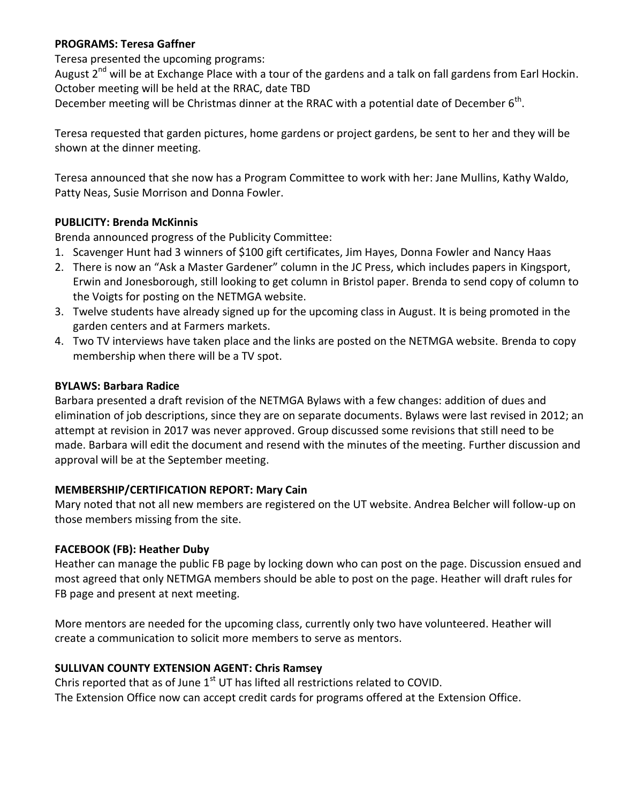## **PROGRAMS: Teresa Gaffner**

Teresa presented the upcoming programs:

August 2<sup>nd</sup> will be at Exchange Place with a tour of the gardens and a talk on fall gardens from Earl Hockin. October meeting will be held at the RRAC, date TBD

December meeting will be Christmas dinner at the RRAC with a potential date of December  $6^{th}$ .

Teresa requested that garden pictures, home gardens or project gardens, be sent to her and they will be shown at the dinner meeting.

Teresa announced that she now has a Program Committee to work with her: Jane Mullins, Kathy Waldo, Patty Neas, Susie Morrison and Donna Fowler.

## **PUBLICITY: Brenda McKinnis**

Brenda announced progress of the Publicity Committee:

- 1. Scavenger Hunt had 3 winners of \$100 gift certificates, Jim Hayes, Donna Fowler and Nancy Haas
- 2. There is now an "Ask a Master Gardener" column in the JC Press, which includes papers in Kingsport, Erwin and Jonesborough, still looking to get column in Bristol paper. Brenda to send copy of column to the Voigts for posting on the NETMGA website.
- 3. Twelve students have already signed up for the upcoming class in August. It is being promoted in the garden centers and at Farmers markets.
- 4. Two TV interviews have taken place and the links are posted on the NETMGA website. Brenda to copy membership when there will be a TV spot.

### **BYLAWS: Barbara Radice**

Barbara presented a draft revision of the NETMGA Bylaws with a few changes: addition of dues and elimination of job descriptions, since they are on separate documents. Bylaws were last revised in 2012; an attempt at revision in 2017 was never approved. Group discussed some revisions that still need to be made. Barbara will edit the document and resend with the minutes of the meeting. Further discussion and approval will be at the September meeting.

## **MEMBERSHIP/CERTIFICATION REPORT: Mary Cain**

Mary noted that not all new members are registered on the UT website. Andrea Belcher will follow-up on those members missing from the site.

## **FACEBOOK (FB): Heather Duby**

Heather can manage the public FB page by locking down who can post on the page. Discussion ensued and most agreed that only NETMGA members should be able to post on the page. Heather will draft rules for FB page and present at next meeting.

More mentors are needed for the upcoming class, currently only two have volunteered. Heather will create a communication to solicit more members to serve as mentors.

## **SULLIVAN COUNTY EXTENSION AGENT: Chris Ramsey**

Chris reported that as of June  $1<sup>st</sup>$  UT has lifted all restrictions related to COVID. The Extension Office now can accept credit cards for programs offered at the Extension Office.